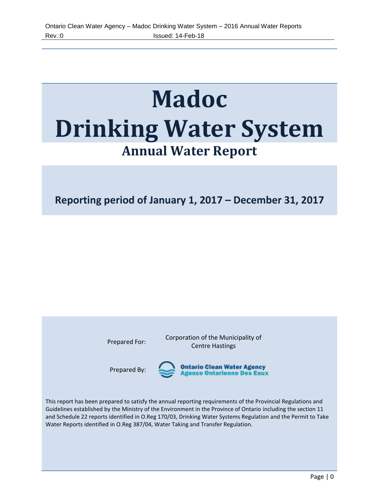# **Madoc Drinking Water System Annual Water Report**

**Reporting period of January 1, 2017 – December 31, 2017**

Prepared For: Corporation of the Municipality of Centre Hastings

Prepared By:

Ontario Clean Water Agency<br>Agence Ontarienne Des Eaux

This report has been prepared to satisfy the annual reporting requirements of the Provincial Regulations and Guidelines established by the Ministry of the Environment in the Province of Ontario including the section 11 and Schedule 22 reports identified in O.Reg 170/03, Drinking Water Systems Regulation and the Permit to Take Water Reports identified in O.Reg 387/04, Water Taking and Transfer Regulation.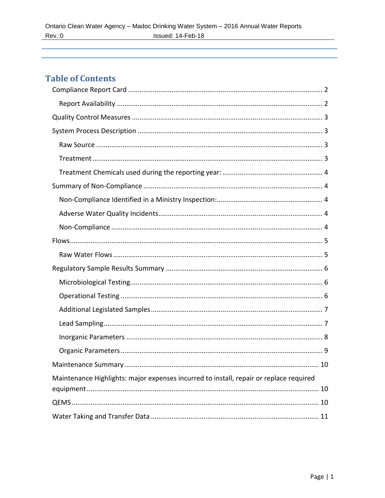# **Table of Contents**

| Maintenance Highlights: major expenses incurred to install, repair or replace required |
|----------------------------------------------------------------------------------------|
|                                                                                        |
|                                                                                        |
|                                                                                        |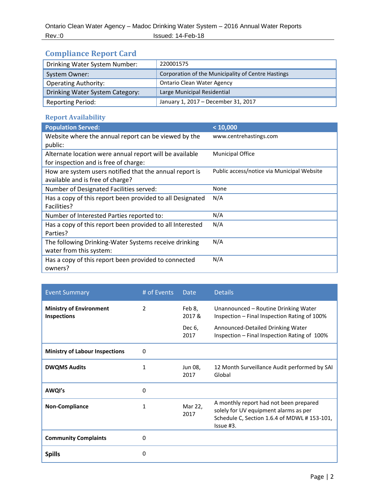# <span id="page-2-0"></span>**Compliance Report Card**

| Drinking Water System Number:   | 220001575                                          |
|---------------------------------|----------------------------------------------------|
| System Owner:                   | Corporation of the Municipality of Centre Hastings |
| <b>Operating Authority:</b>     | <b>Ontario Clean Water Agency</b>                  |
| Drinking Water System Category: | Large Municipal Residential                        |
| <b>Reporting Period:</b>        | January 1, 2017 - December 31, 2017                |

## <span id="page-2-1"></span>**Report Availability**

| <b>Population Served:</b>                                 | < 10,000                                   |
|-----------------------------------------------------------|--------------------------------------------|
| Website where the annual report can be viewed by the      | www.centrehastings.com                     |
| public:                                                   |                                            |
| Alternate location were annual report will be available   | <b>Municipal Office</b>                    |
| for inspection and is free of charge:                     |                                            |
| How are system users notified that the annual report is   | Public access/notice via Municipal Website |
| available and is free of charge?                          |                                            |
| Number of Designated Facilities served:                   | None                                       |
| Has a copy of this report been provided to all Designated | N/A                                        |
| Facilities?                                               |                                            |
| Number of Interested Parties reported to:                 | N/A                                        |
| Has a copy of this report been provided to all Interested | N/A                                        |
| Parties?                                                  |                                            |
| The following Drinking-Water Systems receive drinking     | N/A                                        |
| water from this system:                                   |                                            |
| Has a copy of this report been provided to connected      | N/A                                        |
| owners?                                                   |                                            |

| <b>Event Summary</b>                                 | # of Events    | <b>Date</b>     | <b>Details</b>                                                                                                                               |
|------------------------------------------------------|----------------|-----------------|----------------------------------------------------------------------------------------------------------------------------------------------|
| <b>Ministry of Environment</b><br><b>Inspections</b> | $\overline{2}$ | Feb 8,<br>2017& | Unannounced - Routine Drinking Water<br>Inspection – Final Inspection Rating of 100%                                                         |
|                                                      |                | Dec 6,<br>2017  | Announced-Detailed Drinking Water<br>Inspection - Final Inspection Rating of 100%                                                            |
| <b>Ministry of Labour Inspections</b>                | $\Omega$       |                 |                                                                                                                                              |
| <b>DWQMS Audits</b>                                  | 1              | Jun 08,<br>2017 | 12 Month Surveillance Audit performed by SAI<br>Global                                                                                       |
| AWQI's                                               | 0              |                 |                                                                                                                                              |
| <b>Non-Compliance</b>                                | 1              | Mar 22,<br>2017 | A monthly report had not been prepared<br>solely for UV equipment alarms as per<br>Schedule C, Section 1.6.4 of MDWL # 153-101,<br>Issue #3. |
| <b>Community Complaints</b>                          | 0              |                 |                                                                                                                                              |
| <b>Spills</b>                                        | 0              |                 |                                                                                                                                              |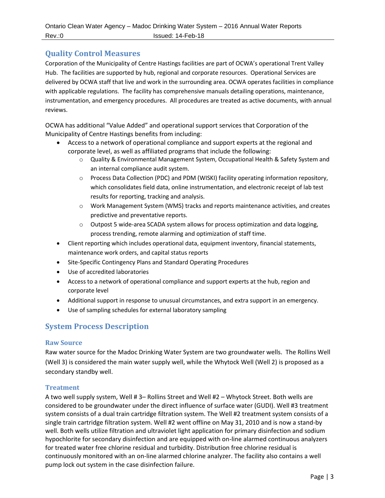## <span id="page-3-0"></span>**Quality Control Measures**

Corporation of the Municipality of Centre Hastings facilities are part of OCWA's operational Trent Valley Hub. The facilities are supported by hub, regional and corporate resources. Operational Services are delivered by OCWA staff that live and work in the surrounding area. OCWA operates facilities in compliance with applicable regulations. The facility has comprehensive manuals detailing operations, maintenance, instrumentation, and emergency procedures. All procedures are treated as active documents, with annual reviews.

OCWA has additional "Value Added" and operational support services that Corporation of the Municipality of Centre Hastings benefits from including:

- Access to a network of operational compliance and support experts at the regional and corporate level, as well as affiliated programs that include the following:
	- o Quality & Environmental Management System, Occupational Health & Safety System and an internal compliance audit system.
	- o Process Data Collection (PDC) and PDM (WISKI) facility operating information repository, which consolidates field data, online instrumentation, and electronic receipt of lab test results for reporting, tracking and analysis.
	- o Work Management System (WMS) tracks and reports maintenance activities, and creates predictive and preventative reports.
	- $\circ$  Outpost 5 wide-area SCADA system allows for process optimization and data logging, process trending, remote alarming and optimization of staff time.
- Client reporting which includes operational data, equipment inventory, financial statements, maintenance work orders, and capital status reports
- **•** Site-Specific Contingency Plans and Standard Operating Procedures
- Use of accredited laboratories
- Access to a network of operational compliance and support experts at the hub, region and corporate level
- Additional support in response to unusual circumstances, and extra support in an emergency.
- Use of sampling schedules for external laboratory sampling

## <span id="page-3-1"></span>**System Process Description**

#### <span id="page-3-2"></span>**Raw Source**

Raw water source for the Madoc Drinking Water System are two groundwater wells. The Rollins Well (Well 3) is considered the main water supply well, while the Whytock Well (Well 2) is proposed as a secondary standby well.

#### <span id="page-3-3"></span>**Treatment**

A two well supply system, Well # 3– Rollins Street and Well #2 – Whytock Street. Both wells are considered to be groundwater under the direct influence of surface water (GUDI). Well #3 treatment system consists of a dual train cartridge filtration system. The Well #2 treatment system consists of a single train cartridge filtration system. Well #2 went offline on May 31, 2010 and is now a stand-by well. Both wells utilize filtration and ultraviolet light application for primary disinfection and sodium hypochlorite for secondary disinfection and are equipped with on-line alarmed continuous analyzers for treated water free chlorine residual and turbidity. Distribution free chlorine residual is continuously monitored with an on-line alarmed chlorine analyzer. The facility also contains a well pump lock out system in the case disinfection failure.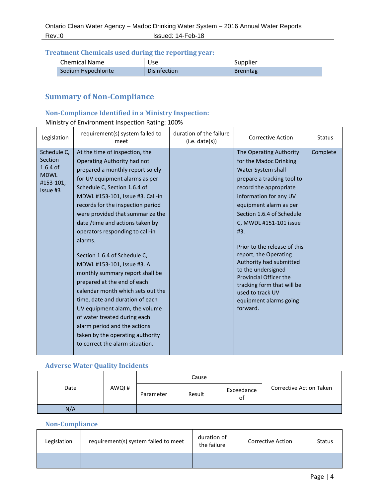#### <span id="page-4-0"></span>**Treatment Chemicals used during the reporting year:**

| <b>Chemical Name</b> | Use                 | Supplier        |
|----------------------|---------------------|-----------------|
| Sodium Hypochlorite  | <b>Disinfection</b> | <b>Brenntag</b> |

## <span id="page-4-1"></span>**Summary of Non-Compliance**

## <span id="page-4-2"></span>**Non-Compliance Identified in a Ministry Inspection:**

## Ministry of Environment Inspection Rating: 100%

| Legislation                                                                         | requirement(s) system failed to<br>meet                                                                                                                                                                                                                                                                                                                                                                                                                                                                                                                                                                                                                                                                                                            | duration of the failure<br>(i.e. date(s)) | <b>Corrective Action</b>                                                                                                                                                                                                                                                                                                                                                                                                                                                             | <b>Status</b> |
|-------------------------------------------------------------------------------------|----------------------------------------------------------------------------------------------------------------------------------------------------------------------------------------------------------------------------------------------------------------------------------------------------------------------------------------------------------------------------------------------------------------------------------------------------------------------------------------------------------------------------------------------------------------------------------------------------------------------------------------------------------------------------------------------------------------------------------------------------|-------------------------------------------|--------------------------------------------------------------------------------------------------------------------------------------------------------------------------------------------------------------------------------------------------------------------------------------------------------------------------------------------------------------------------------------------------------------------------------------------------------------------------------------|---------------|
| Schedule C,<br><b>Section</b><br>$1.6.4$ of<br><b>MDWL</b><br>#153-101,<br>Issue #3 | At the time of inspection, the<br>Operating Authority had not<br>prepared a monthly report solely<br>for UV equipment alarms as per<br>Schedule C, Section 1.6.4 of<br>MDWL #153-101, Issue #3. Call-in<br>records for the inspection period<br>were provided that summarize the<br>date /time and actions taken by<br>operators responding to call-in<br>alarms.<br>Section 1.6.4 of Schedule C,<br>MDWL #153-101, Issue #3. A<br>monthly summary report shall be<br>prepared at the end of each<br>calendar month which sets out the<br>time, date and duration of each<br>UV equipment alarm, the volume<br>of water treated during each<br>alarm period and the actions<br>taken by the operating authority<br>to correct the alarm situation. |                                           | The Operating Authority<br>for the Madoc Drinking<br>Water System shall<br>prepare a tracking tool to<br>record the appropriate<br>information for any UV<br>equipment alarm as per<br>Section 1.6.4 of Schedule<br>C, MWDL #151-101 issue<br>#3.<br>Prior to the release of this<br>report, the Operating<br>Authority had submitted<br>to the undersigned<br><b>Provincial Officer the</b><br>tracking form that will be<br>used to track UV<br>equipment alarms going<br>forward. | Complete      |

## <span id="page-4-3"></span>**Adverse Water Quality Incidents**

|      |       |           | Cause  |                  |                                |
|------|-------|-----------|--------|------------------|--------------------------------|
| Date | AWQI# | Parameter | Result | Exceedance<br>οf | <b>Corrective Action Taken</b> |
| N/A  |       |           |        |                  |                                |

#### <span id="page-4-4"></span>**Non-Compliance**

| Legislation | requirement(s) system failed to meet | duration of<br>the failure | <b>Corrective Action</b> | <b>Status</b> |
|-------------|--------------------------------------|----------------------------|--------------------------|---------------|
|             |                                      |                            |                          |               |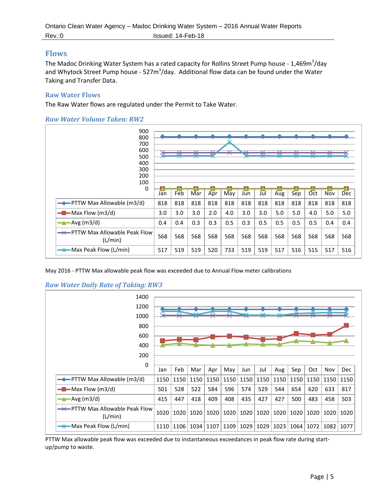## <span id="page-5-0"></span>**Flows**

The Madoc Drinking Water System has a rated capacity for Rollins Street Pump house - 1,469m<sup>3</sup>/day and Whytock Street Pump house - 527m<sup>3</sup>/day. Additional flow data can be found under the Water Taking and Transfer Data.

#### <span id="page-5-1"></span>**Raw Water Flows**

The Raw Water flows are regulated under the Permit to Take Water.





May 2016 - PTTW Max allowable peak flow was exceeded due to Annual Flow meter calibrations





PTTW Max allowable peak flow was exceeded due to instantaneous exceedances in peak flow rate during startup/pump to waste.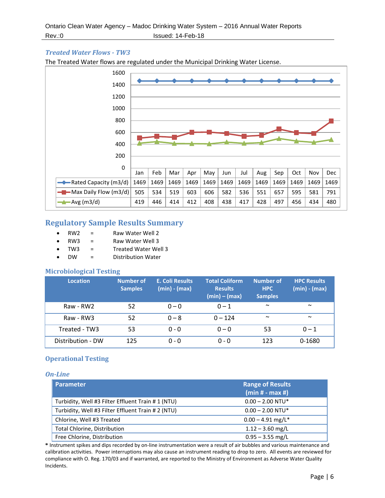#### *Treated Water Flows - TW3*

The Treated Water flows are regulated under the Municipal Drinking Water License.



## <span id="page-6-0"></span>**Regulatory Sample Results Summary**

- RW2 = Raw Water Well 2
- $RW3 =$ Raw Water Well 3
- TW3 = Treated Water Well 3
- DW = Distribution Water

#### <span id="page-6-1"></span>**Microbiological Testing**

| <b>Location</b>   | <b>Number of</b><br><b>Samples</b> | E. Coli Results<br>$(min) - (max)$ | <b>Total Coliform</b><br><b>Results</b><br>$(min) - (max)$ | <b>Number of</b><br><b>HPC</b><br><b>Samples</b> | <b>HPC Results</b><br>$(min) - (max)$ |
|-------------------|------------------------------------|------------------------------------|------------------------------------------------------------|--------------------------------------------------|---------------------------------------|
| Raw - RW2         | 52                                 | $0 - 0$                            | $0 - 1$                                                    | $\tilde{\phantom{a}}$                            | $\sim$                                |
| Raw - RW3         | 52                                 | $0 - 8$                            | $0 - 124$                                                  | $\sim$                                           | $\sim$                                |
| Treated - TW3     | 53                                 | $0 - 0$                            | $0 - 0$                                                    | 53                                               | $0 - 1$                               |
| Distribution - DW | 125                                | $0 - 0$                            | $0 - 0$                                                    | 123                                              | 0-1680                                |

#### <span id="page-6-2"></span>**Operational Testing**

#### *On-Line*

| <b>Parameter</b>                                   | <b>Range of Results</b><br>$(min# - max#)$ |
|----------------------------------------------------|--------------------------------------------|
| Turbidity, Well #3 Filter Effluent Train #1 (NTU)  | $0.00 - 2.00$ NTU*                         |
| Turbidity, Well #3 Filter Effluent Train # 2 (NTU) | $0.00 - 2.00$ NTU*                         |
| Chlorine, Well #3 Treated                          | $0.00 - 4.91$ mg/L <sup>*</sup>            |
| Total Chlorine, Distribution                       | $1.12 - 3.60$ mg/L                         |
| Free Chlorine, Distribution                        | $0.95 - 3.55$ mg/L                         |

**\*** Instrument spikes and dips recorded by on-line instrumentation were a result of air bubbles and various maintenance and calibration activities. Power interruptions may also cause an instrument reading to drop to zero. All events are reviewed for compliance with O. Reg. 170/03 and if warranted, are reported to the Ministry of Environment as Adverse Water Quality Incidents.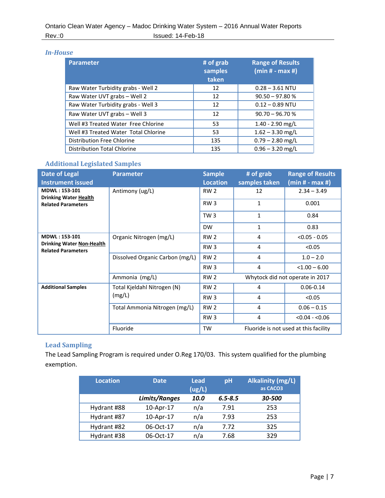#### *In-House*

| <b>Parameter</b>                     | # of grab<br>samples<br>taken | <b>Range of Results</b><br>$(min# - max #)$ |
|--------------------------------------|-------------------------------|---------------------------------------------|
| Raw Water Turbidity grabs - Well 2   | 12                            | $0.28 - 3.61$ NTU                           |
| Raw Water UVT grabs - Well 2         | 12                            | $90.50 - 97.80 %$                           |
| Raw Water Turbidity grabs - Well 3   | 12                            | $0.12 - 0.89$ NTU                           |
| Raw Water UVT grabs - Well 3         | 12                            | $90.70 - 96.70 %$                           |
| Well #3 Treated Water Free Chlorine  | 53                            | $1.40 - 2.90$ mg/L                          |
| Well #3 Treated Water Total Chlorine | 53                            | $1.62 - 3.30$ mg/L                          |
| Distribution Free Chlorine           | 135                           | $0.79 - 2.80$ mg/L                          |
| <b>Distribution Total Chlorine</b>   | 135                           | $0.96 - 3.20$ mg/L                          |

## <span id="page-7-0"></span>**Additional Legislated Samples**

| <b>Date of Legal</b><br><b>Instrument issued</b>              | <b>Parameter</b>                | <b>Sample</b><br><b>Location</b>                   | # of grab<br>samples taken      | <b>Range of Results</b><br>$(min# - max #)$ |  |
|---------------------------------------------------------------|---------------------------------|----------------------------------------------------|---------------------------------|---------------------------------------------|--|
| <b>MDWL: 153-101</b><br><b>Drinking Water Health</b>          | Antimony (ug/L)                 | RW <sub>2</sub>                                    | 12                              | $2.34 - 3.49$                               |  |
| <b>Related Parameters</b>                                     |                                 | RW <sub>3</sub>                                    | $\mathbf{1}$                    | 0.001                                       |  |
|                                                               |                                 | TW <sub>3</sub>                                    | 1                               | 0.84                                        |  |
|                                                               |                                 | <b>DW</b>                                          | 1                               | 0.83                                        |  |
| MDWL: 153-101                                                 | Organic Nitrogen (mg/L)         | <b>RW 2</b>                                        | 4                               | $< 0.05 - 0.05$                             |  |
| <b>Drinking Water Non-Health</b><br><b>Related Parameters</b> |                                 | RW <sub>3</sub>                                    | 4                               | < 0.05                                      |  |
|                                                               | Dissolved Organic Carbon (mg/L) | RW <sub>2</sub>                                    | 4                               | $1.0 - 2.0$                                 |  |
|                                                               |                                 | RW <sub>3</sub>                                    | 4                               | $< 1.00 - 6.00$                             |  |
|                                                               | Ammonia (mg/L)                  | <b>RW 2</b>                                        | Whytock did not operate in 2017 |                                             |  |
| <b>Additional Samples</b>                                     | Total Kjeldahl Nitrogen (N)     | <b>RW 2</b>                                        | 4                               | $0.06 - 0.14$                               |  |
|                                                               | (mg/L)                          | RW <sub>3</sub>                                    | 4                               | < 0.05                                      |  |
|                                                               | Total Ammonia Nitrogen (mg/L)   | <b>RW 2</b>                                        | 4                               | $0.06 - 0.15$                               |  |
|                                                               |                                 | RW <sub>3</sub>                                    | 4                               | $< 0.04 - 0.06$                             |  |
|                                                               | Fluoride                        | Fluoride is not used at this facility<br><b>TW</b> |                                 |                                             |  |

## <span id="page-7-1"></span>**Lead Sampling**

The Lead Sampling Program is required under O.Reg 170/03. This system qualified for the plumbing exemption.

| <b>Location</b> | <b>Date</b>   | Lead<br>(ug/L) | pH          | <b>Alkalinity (mg/L)</b><br>as CACO3 |
|-----------------|---------------|----------------|-------------|--------------------------------------|
|                 | Limits/Ranges | 10.0           | $6.5 - 8.5$ | 30-500                               |
| Hydrant #88     | 10-Apr-17     | n/a            | 7.91        | 253                                  |
| Hydrant #87     | 10-Apr-17     | n/a            | 7.93        | 253                                  |
| Hydrant #82     | 06-Oct-17     | n/a            | 7.72        | 325                                  |
| Hydrant #38     | 06-Oct-17     | n/a            | 7.68        | 329                                  |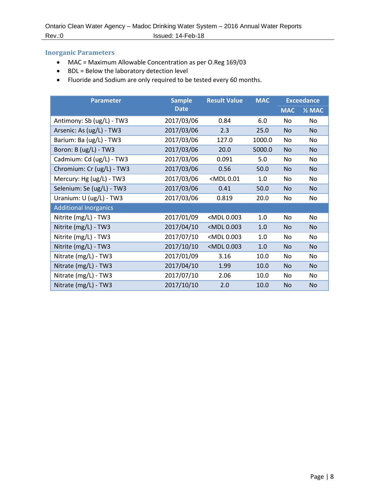#### <span id="page-8-0"></span>**Inorganic Parameters**

- MAC = Maximum Allowable Concentration as per O.Reg 169/03
- BDL = Below the laboratory detection level
- Fluoride and Sodium are only required to be tested every 60 months.

| <b>Sample</b><br><b>Parameter</b> |             | <b>Result Value</b>                                                    | <b>MAC</b> | <b>Exceedance</b> |                   |
|-----------------------------------|-------------|------------------------------------------------------------------------|------------|-------------------|-------------------|
|                                   | <b>Date</b> |                                                                        |            | <b>MAC</b>        | $\frac{1}{2}$ MAC |
| Antimony: Sb (ug/L) - TW3         | 2017/03/06  | 0.84                                                                   | 6.0        | No                | No                |
| Arsenic: As (ug/L) - TW3          | 2017/03/06  | 2.3                                                                    | 25.0       | <b>No</b>         | N <sub>o</sub>    |
| Barium: Ba (ug/L) - TW3           | 2017/03/06  | 127.0                                                                  | 1000.0     | No                | No                |
| Boron: B (ug/L) - TW3             | 2017/03/06  | 20.0                                                                   | 5000.0     | <b>No</b>         | <b>No</b>         |
| Cadmium: Cd (ug/L) - TW3          | 2017/03/06  | 0.091                                                                  | 5.0        | No                | No                |
| Chromium: Cr (ug/L) - TW3         | 2017/03/06  | 0.56                                                                   | 50.0       | <b>No</b>         | <b>No</b>         |
| Mercury: Hg (ug/L) - TW3          | 2017/03/06  | <mdl0.01< td=""><td>1.0</td><td>No</td><td>No</td></mdl0.01<>          | 1.0        | No                | No                |
| Selenium: Se (ug/L) - TW3         | 2017/03/06  | 0.41                                                                   | 50.0       | <b>No</b>         | N <sub>o</sub>    |
| Uranium: U (ug/L) - TW3           | 2017/03/06  | 0.819                                                                  | 20.0       | No                | No                |
| <b>Additional Inorganics</b>      |             |                                                                        |            |                   |                   |
| Nitrite (mg/L) - TW3              | 2017/01/09  | <mdl0.003< td=""><td>1.0</td><td>No</td><td>No</td></mdl0.003<>        | 1.0        | No                | No                |
| Nitrite (mg/L) - TW3              | 2017/04/10  | <mdl0.003< td=""><td>1.0</td><td>No</td><td><b>No</b></td></mdl0.003<> | 1.0        | No                | <b>No</b>         |
| Nitrite (mg/L) - TW3              | 2017/07/10  | <mdl0.003< td=""><td>1.0</td><td>No</td><td>No</td></mdl0.003<>        | 1.0        | No                | No                |
| Nitrite (mg/L) - TW3              | 2017/10/10  | <mdl0.003< td=""><td>1.0</td><td>No</td><td><b>No</b></td></mdl0.003<> | 1.0        | No                | <b>No</b>         |
| Nitrate (mg/L) - TW3              | 2017/01/09  | 3.16                                                                   | 10.0       | No                | No                |
| Nitrate (mg/L) - TW3              | 2017/04/10  | 1.99                                                                   | 10.0       | <b>No</b>         | <b>No</b>         |
| Nitrate (mg/L) - TW3              | 2017/07/10  | 2.06                                                                   | 10.0       | No                | No                |
| Nitrate (mg/L) - TW3              | 2017/10/10  | 2.0                                                                    | 10.0       | <b>No</b>         | No.               |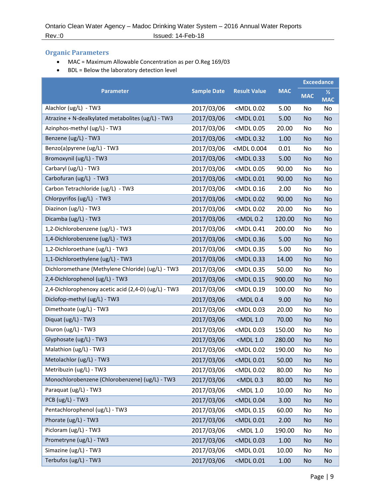## <span id="page-9-0"></span>**Organic Parameters**

- MAC = Maximum Allowable Concentration as per O.Reg 169/03
- BDL = Below the laboratory detection level

|                                                      |                    |                                                                               |            | <b>Exceedance</b> |                             |
|------------------------------------------------------|--------------------|-------------------------------------------------------------------------------|------------|-------------------|-----------------------------|
| <b>Parameter</b>                                     | <b>Sample Date</b> | <b>Result Value</b>                                                           | <b>MAC</b> | <b>MAC</b>        | $\frac{1}{2}$<br><b>MAC</b> |
| Alachlor (ug/L) - TW3                                | 2017/03/06         | <mdl 0.02<="" td=""><td>5.00</td><td>No</td><td>No</td></mdl>                 | 5.00       | No                | No                          |
| Atrazine + N-dealkylated metabolites (ug/L) - TW3    | 2017/03/06         | <mdl 0.01<="" td=""><td>5.00</td><td><b>No</b></td><td><b>No</b></td></mdl>   | 5.00       | <b>No</b>         | <b>No</b>                   |
| Azinphos-methyl (ug/L) - TW3                         | 2017/03/06         | <mdl 0.05<="" td=""><td>20.00</td><td>No</td><td>No</td></mdl>                | 20.00      | No                | No                          |
| Benzene (ug/L) - TW3                                 | 2017/03/06         | <mdl 0.32<="" td=""><td>1.00</td><td><b>No</b></td><td><b>No</b></td></mdl>   | 1.00       | <b>No</b>         | <b>No</b>                   |
| Benzo(a)pyrene (ug/L) - TW3                          | 2017/03/06         | <mdl 0.004<="" td=""><td>0.01</td><td>No</td><td>No</td></mdl>                | 0.01       | No                | No                          |
| Bromoxynil (ug/L) - TW3                              | 2017/03/06         | <mdl 0.33<="" td=""><td>5.00</td><td><b>No</b></td><td>No</td></mdl>          | 5.00       | <b>No</b>         | No                          |
| Carbaryl (ug/L) - TW3                                | 2017/03/06         | <mdl 0.05<="" td=""><td>90.00</td><td>No</td><td>No</td></mdl>                | 90.00      | No                | No                          |
| Carbofuran (ug/L) - TW3                              | 2017/03/06         | <mdl 0.01<="" td=""><td>90.00</td><td><b>No</b></td><td><b>No</b></td></mdl>  | 90.00      | <b>No</b>         | <b>No</b>                   |
| Carbon Tetrachloride (ug/L) - TW3                    | 2017/03/06         | <mdl 0.16<="" td=""><td>2.00</td><td>No</td><td>No</td></mdl>                 | 2.00       | No                | No                          |
| Chlorpyrifos (ug/L) - TW3                            | 2017/03/06         | <mdl 0.02<="" td=""><td>90.00</td><td><b>No</b></td><td><b>No</b></td></mdl>  | 90.00      | <b>No</b>         | <b>No</b>                   |
| Diazinon (ug/L) - TW3                                | 2017/03/06         | <mdl 0.02<="" td=""><td>20.00</td><td>No</td><td>No</td></mdl>                | 20.00      | No                | No                          |
| Dicamba (ug/L) - TW3                                 | 2017/03/06         | $<$ MDL $0.2$                                                                 | 120.00     | <b>No</b>         | <b>No</b>                   |
| 1,2-Dichlorobenzene (ug/L) - TW3                     | 2017/03/06         | <mdl 0.41<="" td=""><td>200.00</td><td>No</td><td>No</td></mdl>               | 200.00     | No                | No                          |
| 1,4-Dichlorobenzene (ug/L) - TW3                     | 2017/03/06         | <mdl 0.36<="" td=""><td>5.00</td><td><b>No</b></td><td><b>No</b></td></mdl>   | 5.00       | <b>No</b>         | <b>No</b>                   |
| 1,2-Dichloroethane (ug/L) - TW3                      | 2017/03/06         | <mdl 0.35<="" td=""><td>5.00</td><td>No</td><td>No</td></mdl>                 | 5.00       | No                | No                          |
| 1,1-Dichloroethylene (ug/L) - TW3                    | 2017/03/06         | <mdl 0.33<="" td=""><td>14.00</td><td><b>No</b></td><td><b>No</b></td></mdl>  | 14.00      | <b>No</b>         | <b>No</b>                   |
| Dichloromethane (Methylene Chloride) (ug/L) - TW3    | 2017/03/06         | <mdl 0.35<="" td=""><td>50.00</td><td>No</td><td>No</td></mdl>                | 50.00      | No                | No                          |
| 2,4-Dichlorophenol (ug/L) - TW3                      | 2017/03/06         | <mdl 0.15<="" td=""><td>900.00</td><td><b>No</b></td><td><b>No</b></td></mdl> | 900.00     | <b>No</b>         | <b>No</b>                   |
| 2,4-Dichlorophenoxy acetic acid (2,4-D) (ug/L) - TW3 | 2017/03/06         | <mdl 0.19<="" td=""><td>100.00</td><td>No</td><td>No</td></mdl>               | 100.00     | No                | No                          |
| Diclofop-methyl (ug/L) - TW3                         | 2017/03/06         | $<$ MDL $0.4$                                                                 | 9.00       | <b>No</b>         | <b>No</b>                   |
| Dimethoate (ug/L) - TW3                              | 2017/03/06         | <mdl 0.03<="" td=""><td>20.00</td><td>No</td><td>No</td></mdl>                | 20.00      | No                | No                          |
| Diquat (ug/L) - TW3                                  | 2017/03/06         | <mdl 1.0<="" td=""><td>70.00</td><td><b>No</b></td><td><b>No</b></td></mdl>   | 70.00      | <b>No</b>         | <b>No</b>                   |
| Diuron (ug/L) - TW3                                  | 2017/03/06         | <mdl 0.03<="" td=""><td>150.00</td><td>No</td><td>No</td></mdl>               | 150.00     | No                | No                          |
| Glyphosate (ug/L) - TW3                              | 2017/03/06         | $<$ MDL 1.0                                                                   | 280.00     | <b>No</b>         | <b>No</b>                   |
| Malathion (ug/L) - TW3                               | 2017/03/06         | <mdl 0.02<="" td=""><td>190.00</td><td>No</td><td>No</td></mdl>               | 190.00     | No                | No                          |
| Metolachlor (ug/L) - TW3                             | 2017/03/06         | <mdl 0.01<="" td=""><td>50.00</td><td><b>No</b></td><td>No</td></mdl>         | 50.00      | <b>No</b>         | No                          |
| Metribuzin (ug/L) - TW3                              | 2017/03/06         | <mdl 0.02<="" td=""><td>80.00</td><td>No</td><td>No</td></mdl>                | 80.00      | No                | No                          |
| Monochlorobenzene (Chlorobenzene) (ug/L) - TW3       | 2017/03/06         | $<$ MDL $0.3$                                                                 | 80.00      | <b>No</b>         | No                          |
| Paraquat (ug/L) - TW3                                | 2017/03/06         | <mdl 1.0<="" td=""><td>10.00</td><td>No</td><td>No</td></mdl>                 | 10.00      | No                | No                          |
| PCB (ug/L) - TW3                                     | 2017/03/06         | <mdl 0.04<="" td=""><td>3.00</td><td><b>No</b></td><td><b>No</b></td></mdl>   | 3.00       | <b>No</b>         | <b>No</b>                   |
| Pentachlorophenol (ug/L) - TW3                       | 2017/03/06         | <mdl 0.15<="" td=""><td>60.00</td><td>No</td><td>No</td></mdl>                | 60.00      | No                | No                          |
| Phorate (ug/L) - TW3                                 | 2017/03/06         | <mdl 0.01<="" td=""><td>2.00</td><td><b>No</b></td><td><b>No</b></td></mdl>   | 2.00       | <b>No</b>         | <b>No</b>                   |
| Picloram (ug/L) - TW3                                | 2017/03/06         | <mdl 1.0<="" td=""><td>190.00</td><td>No</td><td>No</td></mdl>                | 190.00     | No                | No                          |
| Prometryne (ug/L) - TW3                              | 2017/03/06         | <mdl 0.03<="" td=""><td>1.00</td><td><b>No</b></td><td><b>No</b></td></mdl>   | 1.00       | <b>No</b>         | <b>No</b>                   |
| Simazine (ug/L) - TW3                                | 2017/03/06         | <mdl 0.01<="" td=""><td>10.00</td><td>No</td><td>No</td></mdl>                | 10.00      | No                | No                          |
| Terbufos (ug/L) - TW3                                | 2017/03/06         | <mdl 0.01<="" td=""><td>1.00</td><td><b>No</b></td><td>No</td></mdl>          | 1.00       | <b>No</b>         | No                          |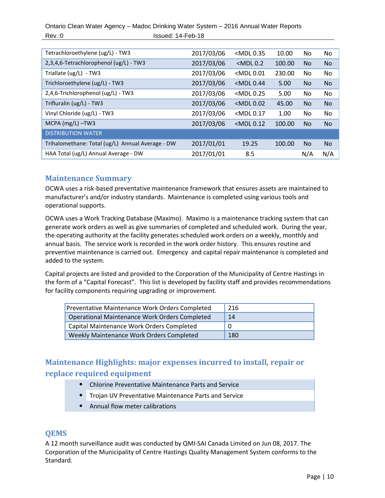Ontario Clean Water Agency – Madoc Drinking Water System – 2016 Annual Water Reports Rev.:0 Issued: 14-Feb-18

| Tetrachloroethylene (ug/L) - TW3                 | 2017/03/06 | <mdl 0.35<="" td=""><td>10.00</td><td>No.</td><td>No</td></mdl> | 10.00  | No.            | No             |
|--------------------------------------------------|------------|-----------------------------------------------------------------|--------|----------------|----------------|
| 2,3,4,6-Tetrachlorophenol (ug/L) - TW3           | 2017/03/06 | $<$ MDL $0.2$                                                   | 100.00 | N <sub>o</sub> | <b>No</b>      |
| Triallate (ug/L) - TW3                           | 2017/03/06 | $<$ MDL $0.01$                                                  | 230.00 | No.            | No             |
| Trichloroethylene (ug/L) - TW3                   | 2017/03/06 | $<$ MDL $0.44$                                                  | 5.00   | N <sub>o</sub> | No             |
| 2,4,6-Trichlorophenol (ug/L) - TW3               | 2017/03/06 | $<$ MDL $0.25$                                                  | 5.00   | No.            | No             |
| Trifluralin (ug/L) - TW3                         | 2017/03/06 | $<$ MDL $0.02$                                                  | 45.00  | <b>No</b>      | No             |
| Vinyl Chloride (ug/L) - TW3                      | 2017/03/06 | $<$ MDL $0.17$                                                  | 1.00   | No.            | No             |
| MCPA $(mg/L)$ -TW3                               | 2017/03/06 | $<$ MDL $0.12$                                                  | 100.00 | <b>No</b>      | <b>No</b>      |
| <b>DISTRIBUTION WATER</b>                        |            |                                                                 |        |                |                |
| Trihalomethane: Total (ug/L) Annual Average - DW | 2017/01/01 | 19.25                                                           | 100.00 | <b>No</b>      | N <sub>o</sub> |
| HAA Total (ug/L) Annual Average - DW             | 2017/01/01 | 8.5                                                             |        | N/A            | N/A            |

## <span id="page-10-0"></span>**Maintenance Summary**

OCWA uses a risk-based preventative maintenance framework that ensures assets are maintained to manufacturer's and/or industry standards. Maintenance is completed using various tools and operational supports.

OCWA uses a Work Tracking Database (Maximo). Maximo is a maintenance tracking system that can generate work orders as well as give summaries of completed and scheduled work. During the year, the operating authority at the facility generates scheduled work orders on a weekly, monthly and annual basis. The service work is recorded in the work order history. This ensures routine and preventive maintenance is carried out. Emergency and capital repair maintenance is completed and added to the system.

Capital projects are listed and provided to the Corporation of the Municipality of Centre Hastings in the form of a "Capital Forecast". This list is developed by facility staff and provides recommendations for facility components requiring upgrading or improvement.

| <b>Preventative Maintenance Work Orders Completed</b> | 216 |
|-------------------------------------------------------|-----|
| <b>Operational Maintenance Work Orders Completed</b>  | 14  |
| Capital Maintenance Work Orders Completed             | 0   |
| Weekly Maintenance Work Orders Completed              | 180 |

## <span id="page-10-1"></span>**Maintenance Highlights: major expenses incurred to install, repair or replace required equipment**

- Chlorine Preventative Maintenance Parts and Service
- Trojan UV Preventative Maintenance Parts and Service
- Annual flow meter calibrations

## <span id="page-10-2"></span>**QEMS**

A 12 month surveillance audit was conducted by QMI-SAI Canada Limited on Jun 08, 2017. The Corporation of the Municipality of Centre Hastings Quality Management System conforms to the Standard.